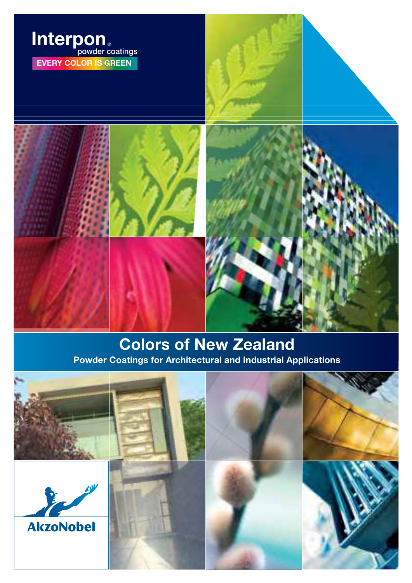

### Colors of New Zealand Powder Coatings for Architectural and Industrial Applications

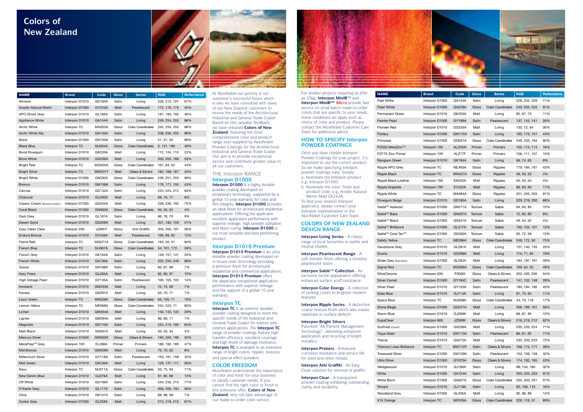At AkzoNobel our priority is our customer's successful future which is why we have consulted with many of our New Zealand customers to review the needs of the Architectural, Industrial and General Trade Coater. Based on this valuable feedback we have released **Colors of New Zealand**, featuring the most comprehensive color and product range ever supplied by AkzoNobel Powder Coatings for the Architectural, Industrial and General Trade Coater. Our aim is to provide exceptional service and contribute greater value to all our customers.

**Interpon D1010 Premium** is an ultra durable powder coating developed on in-house resin technology providing a premium finish for architectural residential and commercial applications. **Interpon D1010 Premium** offers the applicator exceptional application performance with superior mileage and the support of a global 10 year warranty.

#### THE Interpon RANGE **Interpon D1000 Interpon D1000** is a highly durable powder coating developed on proprietary technology, supported by a global 10 year warranty for color and film integrity. **Interpon D1000** provides an ideal finish for architectural residential applications. Offering the applicator excellent application performance with superior mileage, high powder utilisation and faster curing, **Interpon D1000** is our most versatile and best performing product.

**Interpon TC** is an exterior durable powder coating designed to meet the specific needs of the Industrial and General Trade Coater for interior and exterior applications. The **Interpon TC** range of powder coatings feature high transfer efficiency, excellent coverage and high levels of damage resistance. **Interpon TC** is available in an extensive range of bright colors, ripples, textures and special effect powders.

#### **Interpon D1010 Premium**

#### **Interpon TC**

#### **COLOR FREEDOM**

AkzoNobel understands the importance of color and finish for your business to satisfy customer needs. If you cannot find the right color or finish in this extensive offer, **Colors of New Zealand**, why not take advantage of our made-to-order color service.



| <b>NAME</b>                   | <b>Brand</b>   | Code          | <b>Gloss</b> | <b>Series</b>               | <b>RGB</b>    | Reflectance |
|-------------------------------|----------------|---------------|--------------|-----------------------------|---------------|-------------|
| Almond                        | Interpon D1010 | GD160A        | Satin        | Living                      | 226, 213, 191 | 67%         |
| <b>Anodic Natural Merlin</b>  | Interpon D1000 | GY243A        | Matt         | Pearlescent                 | 172, 178, 175 | 40%         |
| APO Ghost Grey                | Interpon D1010 | <b>GL183A</b> | Satin        | Living                      | 187, 193, 192 | 46%         |
| <b>Appliance White</b>        | Interpon D1010 | GA144A        | Satin        | Living                      | 249, 254, 253 | 86%         |
| <b>Arctic White</b>           | Interpon TC    | MA033A        | Gloss        | <b>Color Coordinates</b>    | 242, 253, 255 | 88%         |
| <b>Arctic White Ally</b>      | Interpon D1010 | GA145A        | Satin        | Living                      | 238, 250, 255 | 89%         |
| <b>Black</b>                  | Interpon D1000 | GN150A        | Satin        | Living                      | 51, 57, 55    | 88%         |
| <b>Blaze Blue</b>             | Interpon TC    | <b>MJ034A</b> | Gloss        | <b>Color Coordinates</b>    | 0, 131, 190   | 49%         |
| Bond Rivergum                 | Interpon D1010 | GK220A        | Matt         | Living                      | 112, 124, 110 | 22%         |
| <b>Bone White</b>             | Interpon D1010 | GD256A        | Matt         | Living                      | 200, 202, 188 | 53%         |
| <b>Bright Red</b>             | Interpon TC    | MG025A        | Gloss        | <b>Color Coordinates</b>    | 161, 64, 52   | 43%         |
| <b>Bright Silver</b>          | Interpon TC    | <b>MW201T</b> | Matt         | Clears & Silvers            | 182, 188, 187 | 45%         |
| Bright White                  | Interpon D1000 | GA030A        | Gloss        | <b>Color Coordinates</b>    | 239, 251, 255 | 89%         |
| <b>Bronco</b>                 | Interpon D1010 | GM158A        | Satin        | Living                      | 179, 171, 155 | 43%         |
| Canvas                        | Interpon D1010 | GD142A        | Satin        | Living                      | 224, 224, 212 | 66%         |
| Charcoal                      | Interpon D1010 | <b>GL290A</b> | Matt         | Living                      | 69, 76, 77    | 8%          |
| Classic Cream (Smooth Cream*) | Interpon D1000 | GD245A        | Matt         | Living                      | 239, 226, 192 | 75%         |
| Coral Black                   | Interpon D1000 | GN063A        | Gloss        | <b>Color Coordinates</b>    | 50, 55, 53    | 4%          |
| Dark Grey                     | Interpon D1010 | GL187A        | Satin        | Living                      | 66, 76, 79    | 9%          |
| <b>Desert Sand</b>            | Interpon D1010 | GD209A        | Matt         | Living                      | 201, 185, 159 | 51%         |
| Easy Clean Clear              | Interpon 200   | UZ607I        | Gloss        | Anti Graffiti               | 203, 205, 197 | 58%         |
| Endura Bronze                 | Interpon D1010 | GY248A        | Matt         | Pearlescent                 | 100, 99, 92   | 12%         |
| Flame Red                     | Interpon TC    | MG071A        | Gloss        | <b>Color Coordinates</b>    | 163, 55, 51   | 60%         |
| French Blue                   | Interpon TC    | <b>MJ067A</b> | Gloss        | <b>Color Coordinates</b>    | 54, 101, 173  | 38%         |
| French Grey                   | Interpon D1010 | GK164A        | Satin        | Living                      | 149, 157, 141 | 33%         |
| French White                  | Interpon D1010 | GA136A        | Satin        | Living                      | 252, 255, 249 | 88%         |
| Gravel                        | Interpon D1010 | <b>GN168A</b> | Satin        | Living                      | 60, 67, 68    | 7%          |
| <b>Grey Friars</b>            | Interpon D1010 | GL265A        | Matt         | Living                      | 82, 90, 91    | 10%         |
| High Voltage Pearl            | Interpon D1010 | GY135A        | Satin        | Pearlescent                 | 100, 105, 103 | 14%         |
| Ironsand                      | Interpon D1010 | GM233A        | Matt         | Living                      | 72, 74, 69    | 7%          |
| Karaka                        | Interpon D1010 | GK297A        | Matt         | Living                      | 65, 70, 71    | 7%          |
| Lawn Green                    | Interpon TC    | MK038A        | Gloss        | <b>Color Coordinates</b>    | 65, 105, 71   | 18%         |
| Lemon Yellow                  | Interpon TC    | ME068A        | Gloss        | <b>Color Coordinates</b>    | 254, 223, 71  | 80%         |
| Lichen                        | Interpon D1010 | GM264A        | Matt         | Living                      | 150, 145, 123 | 29%         |
| Lignite                       | Interpon D1010 | GM284A        | Matt         | Living                      | 86, 80, 71    | 7%          |
| Magnolia                      | Interpon D1010 | GD110A        | Satin        | Living                      | 224, 215, 185 | 65%         |
| Matt Black                    | Interpon D1010 | GN291A        | Matt         | Living                      | 50, 55, 54    | 4%          |
| Mercury Silver                | Interpon D1000 | GW003K        | Gloss        | <b>Clears &amp; Silvers</b> | 193, 200, 199 | 52%         |
| MetaPrep <sup>™</sup> Grey    | Interpon 100   | EL286A        | Primer       | Primers                     | 188, 192, 189 | 47%         |
| Mid Bronze                    | Interpon D1010 | <b>GM208A</b> | Matt         | Living                      | 75, 70, 62    | 8%          |
| Millennium Silver             | Interpon D1010 | GY118A        | Satin        | Pearlescent                 | 155, 161, 158 | 33%         |
| Mist Green                    | Interpon D1010 | GK246A        | Matt         | Living                      | 128, 137, 117 | 26%         |
| Navy                          | Interpon TC    | <b>MJ011A</b> | Gloss        | <b>Color Coordinates</b>    | 53, 75, 94    | 11%         |
| New Denim Blue                | Interpon D1010 | <b>GJ276A</b> | Matt         | Living                      | 81, 92, 98    | 12%         |
| Off White                     | Interpon D1010 | GD106A        | Satin        | Living                      | 240, 235, 215 | 77%         |
| O'Keefe Grey                  | Interpon D1010 | GL117A        | Satin        | Living                      | 206, 205, 194 | 56%         |
| Olive                         | Interpon D1010 | GK107A        | Satin        | Living                      | 69, 68, 59    | 7%          |
| <b>Oyster Grey</b>            | Interpon D1000 | GL258A        | Matt         | Living                      | 212, 218, 212 | 61%         |

### **Colors of New Zealand**



For smaller projects requiring as little as 20kg, **Interpon MiniB**™ and **Interpon MiniB™ Micro** provide fast service on small batch made-to-order colors that are specific to your needs. Some conditions do apply such as choice of color and product. Please contact the AkzoNobel Customer Care Team for additional advice.

#### **HOW TO SPECIFY Interpon POWDER COATINGS**

Once you have chosen Interpon Powder Coatings for your project, it's important to use the correct product. So we make specifying Interpon powder coatings easy. Simply: a. Nominate the Interpon product. e.g. Interpon D1000 b. Nominate the color, finish and product code. e.g. Anodic Natural Merlin Matt GY243A. To find your nearest Interpon applicator, please contact your Interpon representative or the AkzoNobel Customer Care Team.

#### **COLORS OF NEW ZEALAND DESIGN RANGE:**

**Interpon Living Series** - A classic range of local favourites in subtle and neutral shades.

**Interpon Pearlescent Range** - A soft metallic finish offering a timeless pearlescent lustre.

**Interpon Sablé**™ **Collection** - An exclusive tactile appearance offering enhanced surface scuff resistance.

**Interpon Color Energy** - A collection of striking colors to brighten modern features.

**Interpon Ripple Series** - A distinctive course texture finish which also masks substrate or surface defects.

#### **Interpon Bright Silvers** -

Patented "AS Particle Management Technology", delivering enhanced application and recycling of bright metallics.

**Interpon Primers** - Enhanced corrosion resistance and service life for steel and other metals.

**Interpon Anti Graffiti** - An Easy Clean solution for removal of graffiti.

**Interpon Clear** - A transparent powder coating exhibiting outstanding clarity and durability.

| <b>NAME</b>                      | <b>Brand</b>   | Code          | <b>Gloss</b>   | <b>Series</b>               | <b>RGB</b>    | Reflectance |
|----------------------------------|----------------|---------------|----------------|-----------------------------|---------------|-------------|
| Pale White                       | Interpon D1000 | GA154A        | Satin          | Living                      | 226, 234, 229 | 71%         |
| Pearl White                      | Interpon D1000 | GA078A        | Gloss          | <b>Color Coordinates</b>    | 249, 255, 255 | 91%         |
| Permanent Green                  | Interpon D1010 | GK253A        | Matt           | Living                      | 62, 87, 73    | 11%         |
| Pewter Pearl                     | Interpon D1000 | GY199A        | Satin          | Pearlescent                 | 137, 143, 141 | 26%         |
| Pioneer Red                      | Interpon D1010 | GG235A        | Matt           | Living                      | 130, 72, 64   | 30%         |
| Pottery                          | Interpon D1000 | GM175A        | Satin          | Living                      | 185, 173, 151 | 43%         |
| Primrose                         | Interpon D1000 | GD037A        | Gloss          | <b>Color Coordinates</b>    | 248, 233, 194 | 80%         |
| PZ550 MetaZinc™                  | Interpon 100   | ALZ55N        | Primer         | Primers                     | 105, 114, 114 | 16%         |
| PZ770 Zinc Primer                | Interpon 100   | ALZ77F        | Primer         | Primers                     | 106.111.107   | 15%         |
| Rangoon Green                    | Interpon D1010 | GK184A        | Satin          | Living                      | 66, 74, 65    | 8%          |
| Ripple APO Grey                  | Interpon TC    | ML463A        | Gloss          | Ripples                     | 179, 184, 181 | 43%         |
| Ripple Black                     | Interpon TC    | MN427A        | Gloss          | Ripples                     | 49, 55, 53    | 4%          |
| Ripple Black Leather             | Interpon 700   | <b>EN432A</b> | Matt           | Ripples                     | 50, 55, 53    | 4%          |
| <b>Ripple Graphite</b>           | Interpon 700   | EY422A        | Matt           | <b>Ripples</b>              | 89, 93, 90    | 11%         |
| <b>Ripple White</b>              | Interpon TC    | MA494A        | Gloss          | Ripples                     | 251, 255, 255 | 91%         |
| Rivergum Beige                   | Interpon D1010 | <b>GD185A</b> | Satin          | Living                      | 229, 219, 200 | 68%         |
| Sable™ Asteroid                  | Interpon D1000 | GN271A        | Texture        | Sable                       | 94, 94, 85    | 12%         |
| Sable <sup>™</sup> Bass          | Interpon D1000 | <b>GN297A</b> | Texture        | Sable                       | 75, 82, 80    | 8%          |
| Sable <sup>™</sup> Black         | Interpon D1000 | GN341A        | Texture        | Sable                       | 49, 54, 52    | 4%          |
| Sable <sup>™</sup> Brilliance    | Interpon D1000 | GL277A        | <b>Texture</b> | Sable                       | 100, 104, 101 | 13%         |
| Sable™ Core Ten™                 | Interpon D1000 | GX350A        | Texture        | Sable                       | 95, 72, 58    | 12%         |
| Safety Yellow                    | Interpon TC    | ME096A        | Gloss          | <b>Color Coordinates</b>    | 248, 172, 50  | 75%         |
| Sandstone Grey                   | Interpon D1010 | GL281A        | Matt           | Living                      | 137, 140, 135 | 25%         |
| Scoria                           | Interpon D1010 | GG296A        | Matt           | Living                      | 110, 71, 63   | 19%         |
| Shale Grey (Gull Grey*)          | Interpon D1000 | <b>GL284A</b> | Matt           | Living                      | 194, 197, 191 | 49%         |
| Signal Red                       | Interpon TC    | <b>MG036A</b> | Gloss          | <b>Color Coordinates</b>    | 169, 64, 53   | 49%         |
| SilvaChrome                      | Interpon 200   | P3000I        | Gloss          | <b>Clears &amp; Silvers</b> | 202, 205, 200 | 54%         |
| Silver Comet                     | Interpon D1000 | GY184C        | Satin          | Pearlescent                 | 147, 152, 148 | 29%         |
| <b>Silver Pearl</b>              | Interpon D1010 | GY120A        | Satin          | Pearlescent                 | 180, 184, 180 | 45%         |
| Slate Blue                       | Interpon D1010 | GJ114A        | Satin          | Living                      | 61, 75, 84    | 11%         |
| Space Blue                       | Interpon TC    | <b>MJ008A</b> | Gloss          | <b>Color Coordinates</b>    | 44.70.116     | 17%         |
| Stone Beige                      | Interpon D1000 | GD247A        | Matt           | Living                      | 206, 189, 161 | 56%         |
| Storm Blue                       | Interpon D1010 | <b>GJ269A</b> | Matt           | Living                      | 68, 87, 95    | 12%         |
| SupaClear                        | Interpon 600   | JZ009K        | Gloss          | <b>Clears &amp; Silvers</b> | 216, 219, 212 | 62%         |
| Surfmist (Cloud*)                | Interpon D1000 | GA236A        | Matt           | Living                      | 230, 233, 224 | 71%         |
| <b>Tique Steel</b>               | Interpon D1010 | GW113A        | Satin          | Pearlescent                 | 86, 91, 92    | 11%         |
| Titania                          | Interpon D1010 | GA275A        | Matt           | Living                      | 232, 233, 223 | 72%         |
| <b>Titanium Lisse Brilliance</b> | Interpon TC    | <b>MW112F</b> | Satin          | <b>Clears &amp; Silvers</b> | 168, 174, 171 | 38%         |
| <b>Treasured Silver</b>          | Interpon D1000 | GW103K        | Satin          | Pearlescent                 | 153, 159, 158 | 32%         |
| <b>Ultra Silver</b>              | Interpon D1000 | <b>GY070A</b> | Gloss          | <b>Clears &amp; Silvers</b> | 174, 183, 185 | 43%         |
| Wedgewood                        | Interpon D1010 | <b>GJ180A</b> | Satin          | Living                      | 99, 134, 160  | 32%         |
| White                            | Interpon D1000 | GA124A        | Satin          | Living                      | 250, 255, 253 | 91%         |
| White Birch                      | Interpon D1000 | GA057A        | Gloss          | <b>Color Coordinates</b>    | 255, 253, 231 | 91%         |
| Wizard                           | Interpon D1010 | <b>GJ119A</b> | Satin          | Living                      | 83, 106, 115  | 16%         |
| <b>Woodland Grey</b>             | Interpon D1000 | <b>GL205A</b> | Matt           | Living                      | 92, 96, 89    | 14%         |
| X15 Orange                       | Interpon TC    | MF035A        | Gloss          | <b>Color Coordinates</b>    | 228, 116, 51  | 69%         |
|                                  |                |               |                |                             |               |             |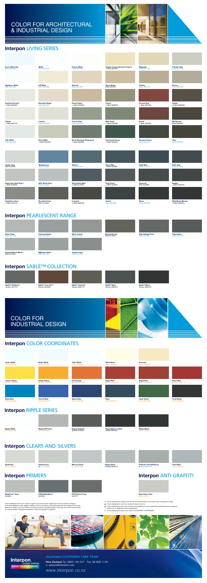- Colors displaying the orange color dot are not recommended for use where high UV exposure is likely.
- **Colors displaying the red color dot are for internal use only**
- Colors displaying the blue color dot are recommended to be over coated with SupaClear powder coating for exterior use or aggressive internal applications
- Colors displaying the green color dot are COLORSTEEL ® COORDINATE



Interpon **Winder Coatings** EVERY COLOR IS GREEN

Colors displayed on this color card are a guide only and have been matched as close as possible to Interpon production standards under daylight conditions. Due to the nature of the printing process some degree of color and gloss level variation may occur. Where more than one finish is available product color may vary. We recommend that you use production line prepared samples for final color selection or approval.

Titanium Lisse Brilliance ● Satin MW112F

> Easy Clean Clear Gloss UZ607

Mercury Silver Gloss GW003k

# COLOR FOR ARCHITECTURAL & INDUSTRIAL DESIGN





### **Interpon** LIVING SERIES

## **Interpon** PEARLESCENT RANGE

### **AkzoNobel CUSTOMER CARE TEAM**

**New Zealand** Tel: 0800 150 527 Fax: 09 828 1129 e: salesnz@interpon.com

www.interpon.co.nz

# **Interpon** SABLÉ™ COLLECTION

## **Interpon** COLOR COORDINATES

# **Interpon** RIPPLE SERIES

### **Interpon** CLEARS AND SILVERS

Silver Pearl Satin G

### **Interpon** PRIMERS **Interpon** ANTI GRAFFITI



SilvaChrome<br>
Gloss P300 loss P3000









**PZ770 Zinc Primer**<br>ALZ77F

Ultra Silver Gloss GY070A



Ripple APO Grey Gloss ML463A

Ripple Graphite Matt EY422A





Ripple Black Gloss MN427A





**Sablé™ Black**<br>Texture GN341A

Treasured Silver

Satin GW103K

Millenium Silver Satin GY118A

High Voltage Pearl Satin GY135A

Endura Bronze Matt GY248A



Anodic Natural Merlin Matt GY243A

| <b>Arctic White</b><br>Gloss MA033A        | <b>Bright White</b><br>Gloss GA030A    | <b>Pearl White</b><br>Gloss GA078A  | <b>White Birch</b><br>Gloss GA057A  | Primrose<br>Gloss GD037A            |                                    |
|--------------------------------------------|----------------------------------------|-------------------------------------|-------------------------------------|-------------------------------------|------------------------------------|
|                                            |                                        |                                     |                                     |                                     |                                    |
|                                            |                                        |                                     |                                     |                                     |                                    |
| <b>Lemon Yellow</b><br><b>Gloss ME068A</b> | Safety Yellow<br><b>C</b> Gloss ME096A | <b>X15 Orange</b><br>● Gloss MF035A | <b>Signal Red</b><br>● Gloss MG036A | <b>Bright Red</b><br>● Gloss MG025A | <b>Flame Red</b><br>Gloss MG071A   |
|                                            |                                        |                                     |                                     |                                     |                                    |
|                                            |                                        |                                     |                                     |                                     |                                    |
| <b>Blaze Blue</b><br>Gloss MJ034A          | <b>French Blue</b><br>Gloss MJ067A     | <b>Space Blue</b><br>Gloss MJ008A   | <b>Navy</b><br>Gloss MJ011A         | <b>Lawn Green</b><br>Gloss MK038A   | <b>Coral Black</b><br>Gloss GN063A |

| <b>Arctic White Ally</b><br>Satin GA145A | White<br>Satin GA124A                 | French White<br>Satin GA136A              | Classic Cream (Smooth Cream*)<br>● Matt GD245A | Magnolia<br>Satin GD110A          | O'Keefe Grey<br>Satin GL117A        |
|------------------------------------------|---------------------------------------|-------------------------------------------|------------------------------------------------|-----------------------------------|-------------------------------------|
|                                          |                                       |                                           |                                                |                                   |                                     |
| <b>Appliance White</b><br>Satin GA144A   | <b>Off White</b><br>Satin GD106A      | <b>Almond</b><br>Satin GD160A             | Stone Beige<br>Matt GD247A                     | Pottery<br>Satin GM175A           | <b>Bronco</b><br>Satin GM158A       |
|                                          |                                       |                                           |                                                |                                   |                                     |
| Surfmist (Cloud*)<br>• Matt GA236A       | Rivergum Beige<br>Satin GD185A        | <b>Desert Sand</b><br>Matt GD209A         | Lichen<br>Matt GM264A                          | <b>Pioneer Red</b><br>Matt GG235A | Lignite<br>• Matt GM284A            |
|                                          |                                       |                                           |                                                |                                   |                                     |
| <b>Titania</b><br>Matt GA275A            | <b>Canvas</b><br>Satin GD142A         | French Grey<br>Satin GK164A               | <b>Mist Green</b><br>Matt GK246A               | <b>Scoria</b><br>Matt GG296A      | <b>Mid Bronze</b><br>Matt GM208A    |
|                                          |                                       |                                           |                                                |                                   |                                     |
| <b>Pale White</b><br>Satin GA154A        | <b>Bone White</b><br>Matt GD256A      | Bond Rivergum (Rivergum)<br>• Matt GK220A | <b>Permanent Green</b><br>Matt GK235A          | Rangoon Green<br>Satin GK184A     | Olive<br>Satin GK107A               |
|                                          |                                       |                                           |                                                |                                   |                                     |
| Oyster Grey<br>Matt GL258A               | Wedgewood<br>Satin GJ180A             | <b>Wizard</b><br>Satin GJ119A             | <b>Storm Blue</b><br>Matt GJ269A               | <b>Slate Blue</b><br>Satin GJ114A | Dark Grey<br>Satin GL187A           |
|                                          |                                       |                                           |                                                |                                   |                                     |
| Shale Grey (Gull Grey*)<br>● Matt GL284A | <b>APO Ghost Grey</b><br>Satin GL183A | <b>New Denim Blue</b><br>Matt GJ276A      | Grey Friars<br>• Matt GL265A                   | Charcoal<br>Matt GL290A           | Karaka<br>Matt GK297A               |
|                                          |                                       |                                           |                                                |                                   |                                     |
| Sandstone Grey<br>• Matt GL281A          | <b>Woodland Grey</b><br>Matt GL205A   | Ironsand<br>• Matt GM233A                 | <b>Gravel</b><br>Satin GN168A                  | <b>Black</b><br>Satin GN150A      | Matt Black (Ebony)<br>• Matt GN291A |